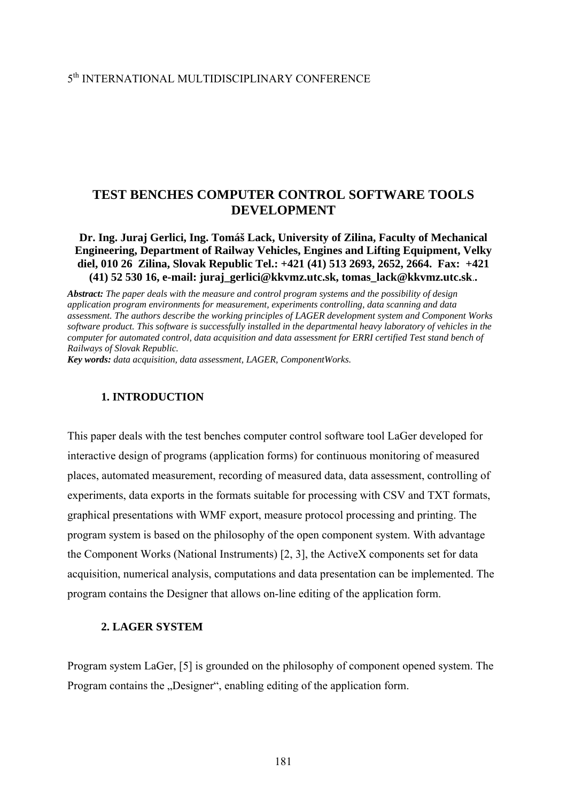# **TEST BENCHES COMPUTER CONTROL SOFTWARE TOOLS DEVELOPMENT**

**Dr. Ing. Juraj Gerlici, Ing. Tomáš Lack, University of Zilina, Faculty of Mechanical Engineering, Department of Railway Vehicles, Engines and Lifting Equipment, Velky diel, 010 26 Zilina, Slovak Republic Tel.: +421 (41) 513 2693, 2652, 2664. Fax: +421 (41) 52 530 16, e-mail: juraj\_gerlici@kkvmz.utc.sk, tomas\_lack@kkvmz.utc.sk**.**.** 

*Abstract: The paper deals with the measure and control program systems and the possibility of design application program environments for measurement, experiments controlling, data scanning and data assessment. The authors describe the working principles of LAGER development system and Component Works software product. This software is successfully installed in the departmental heavy laboratory of vehicles in the computer for automated control, data acquisition and data assessment for ERRI certified Test stand bench of Railways of Slovak Republic.*

*Key words: data acquisition, data assessment, LAGER, ComponentWorks.*

## **1. INTRODUCTION**

This paper deals with the test benches computer control software tool LaGer developed for interactive design of programs (application forms) for continuous monitoring of measured places, automated measurement, recording of measured data, data assessment, controlling of experiments, data exports in the formats suitable for processing with CSV and TXT formats, graphical presentations with WMF export, measure protocol processing and printing. The program system is based on the philosophy of the open component system. With advantage the Component Works (National Instruments) [2, 3], the ActiveX components set for data acquisition, numerical analysis, computations and data presentation can be implemented. The program contains the Designer that allows on-line editing of the application form.

#### **2. LAGER SYSTEM**

Program system LaGer, [5] is grounded on the philosophy of component opened system. The Program contains the "Designer", enabling editing of the application form.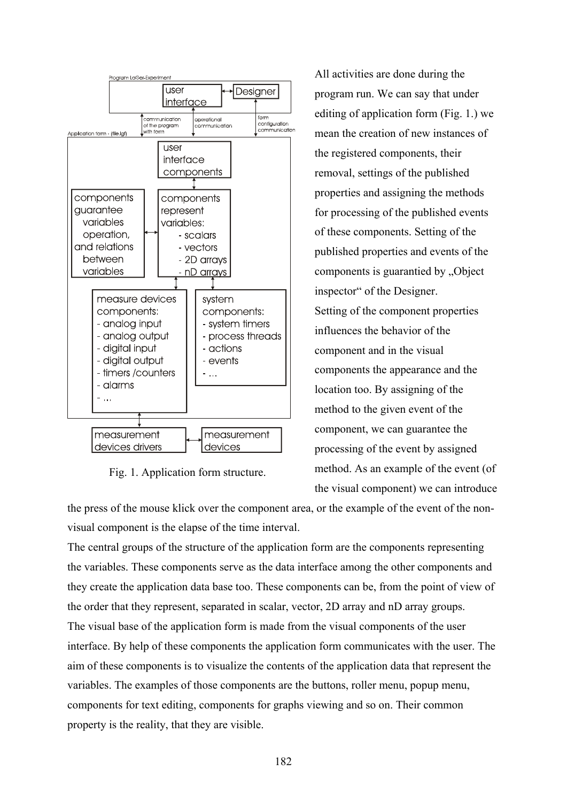

Fig. 1. Application form structure.

All activities are done during the program run. We can say that under editing of application form (Fig. 1.) we mean the creation of new instances of the registered components, their removal, settings of the published properties and assigning the methods for processing of the published events of these components. Setting of the published properties and events of the components is guarantied by "Object inspector" of the Designer. Setting of the component properties influences the behavior of the component and in the visual components the appearance and the location too. By assigning of the method to the given event of the component, we can guarantee the processing of the event by assigned method. As an example of the event (of the visual component) we can introduce

the press of the mouse klick over the component area, or the example of the event of the nonvisual component is the elapse of the time interval.

The central groups of the structure of the application form are the components representing the variables. These components serve as the data interface among the other components and they create the application data base too. These components can be, from the point of view of the order that they represent, separated in scalar, vector, 2D array and nD array groups. The visual base of the application form is made from the visual components of the user interface. By help of these components the application form communicates with the user. The aim of these components is to visualize the contents of the application data that represent the variables. The examples of those components are the buttons, roller menu, popup menu, components for text editing, components for graphs viewing and so on. Their common property is the reality, that they are visible.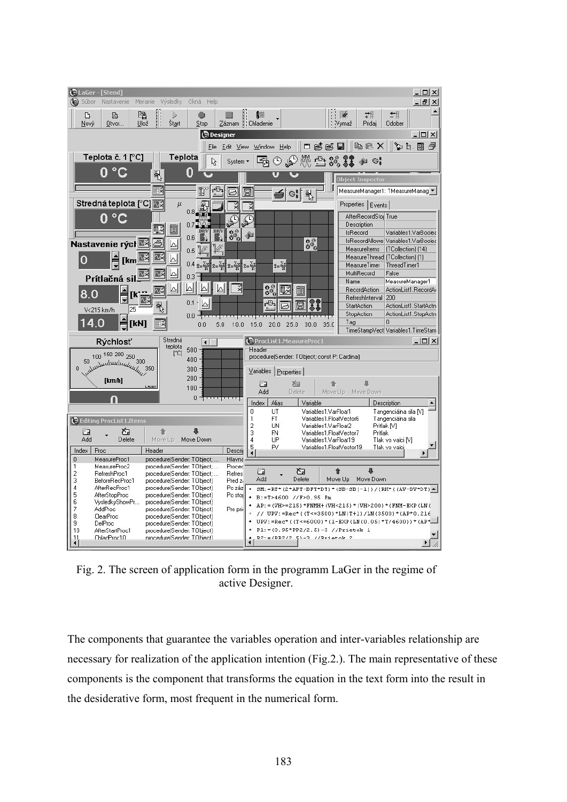

Fig. 2. The screen of application form in the programm LaGer in the regime of active Designer.

The components that guarantee the variables operation and inter-variables relationship are necessary for realization of the application intention (Fig.2.). The main representative of these components is the component that transforms the equation in the text form into the result in the desiderative form, most frequent in the numerical form.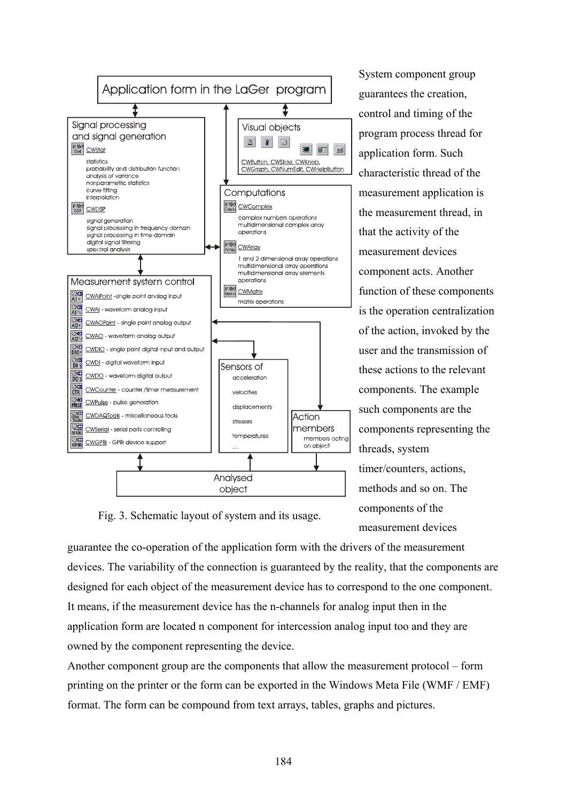

System component group guarantees the creation, control and timing of the program process thread for application form. Such characteristic thread of the measurement application is the measurement thread, in that the activity of the measurement devices component acts. Another function of these components is the operation centralization of the action, invoked by the user and the transmission of these actions to the relevant components. The example such components are the components representing the threads, system timer/counters, actions, methods and so on. The components of the measurement devices

Fig. 3. Schematic layout of system and its usage.

guarantee the co-operation of the application form with the drivers of the measurement devices. The variability of the connection is guaranteed by the reality, that the components are designed for each object of the measurement device has to correspond to the one component. It means, if the measurement device has the n-channels for analog input then in the application form are located n component for intercession analog input too and they are owned by the component representing the device.

Another component group are the components that allow the measurement protocol – form printing on the printer or the form can be exported in the Windows Meta File (WMF / EMF) format. The form can be compound from text arrays, tables, graphs and pictures.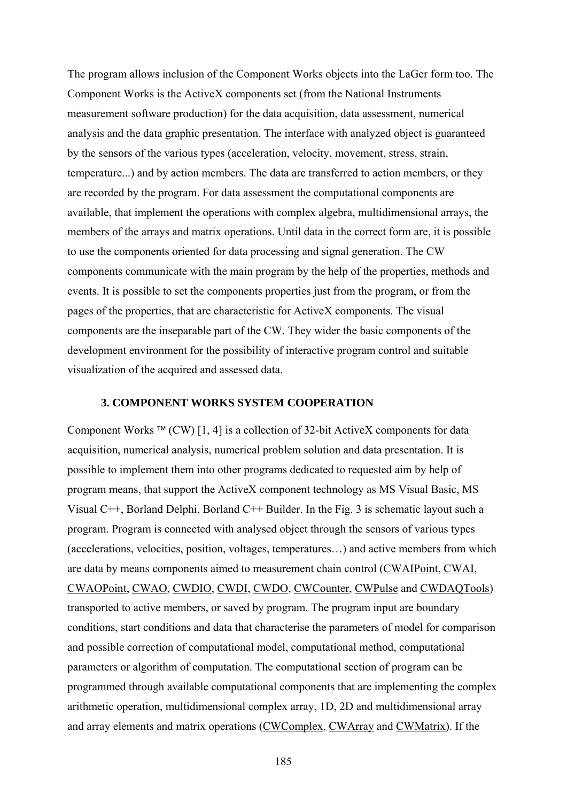The program allows inclusion of the Component Works objects into the LaGer form too. The Component Works is the ActiveX components set (from the National Instruments measurement software production) for the data acquisition, data assessment, numerical analysis and the data graphic presentation. The interface with analyzed object is guaranteed by the sensors of the various types (acceleration, velocity, movement, stress, strain, temperature...) and by action members. The data are transferred to action members, or they are recorded by the program. For data assessment the computational components are available, that implement the operations with complex algebra, multidimensional arrays, the members of the arrays and matrix operations. Until data in the correct form are, it is possible to use the components oriented for data processing and signal generation. The CW components communicate with the main program by the help of the properties, methods and events. It is possible to set the components properties just from the program, or from the pages of the properties, that are characteristic for ActiveX components. The visual components are the inseparable part of the CW. They wider the basic components of the development environment for the possibility of interactive program control and suitable visualization of the acquired and assessed data.

## **3. COMPONENT WORKS SYSTEM COOPERATION**

Component Works ™ (CW) [1, 4] is a collection of 32-bit ActiveX components for data acquisition, numerical analysis, numerical problem solution and data presentation. It is possible to implement them into other programs dedicated to requested aim by help of program means, that support the ActiveX component technology as MS Visual Basic, MS Visual C++, Borland Delphi, Borland C++ Builder. In the Fig. 3 is schematic layout such a program. Program is connected with analysed object through the sensors of various types (accelerations, velocities, position, voltages, temperatures…) and active members from which are data by means components aimed to measurement chain control (CWAIPoint, CWAI, CWAOPoint, CWAO, CWDIO, CWDI, CWDO, CWCounter, CWPulse and CWDAQTools) transported to active members, or saved by program. The program input are boundary conditions, start conditions and data that characterise the parameters of model for comparison and possible correction of computational model, computational method, computational parameters or algorithm of computation. The computational section of program can be programmed through available computational components that are implementing the complex arithmetic operation, multidimensional complex array, 1D, 2D and multidimensional array and array elements and matrix operations (CWComplex, CWArray and CWMatrix). If the